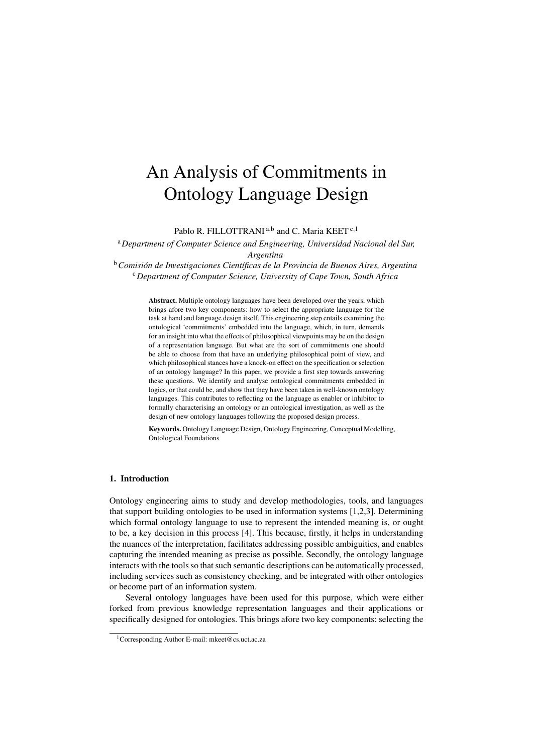# An Analysis of Commitments in Ontology Language Design

Pablo R. FILLOTTRANI<sup>a,b</sup> and C. Maria KEET<sup>c,1</sup>

<sup>a</sup>*Department of Computer Science and Engineering, Universidad Nacional del Sur, Argentina*

<sup>b</sup> Comisión de Investigaciones Científicas de la Provincia de Buenos Aires, Argentina <sup>c</sup>*Department of Computer Science, University of Cape Town, South Africa*

> Abstract. Multiple ontology languages have been developed over the years, which brings afore two key components: how to select the appropriate language for the task at hand and language design itself. This engineering step entails examining the ontological 'commitments' embedded into the language, which, in turn, demands for an insight into what the effects of philosophical viewpoints may be on the design of a representation language. But what are the sort of commitments one should be able to choose from that have an underlying philosophical point of view, and which philosophical stances have a knock-on effect on the specification or selection of an ontology language? In this paper, we provide a first step towards answering these questions. We identify and analyse ontological commitments embedded in logics, or that could be, and show that they have been taken in well-known ontology languages. This contributes to reflecting on the language as enabler or inhibitor to formally characterising an ontology or an ontological investigation, as well as the design of new ontology languages following the proposed design process.

Keywords. Ontology Language Design, Ontology Engineering, Conceptual Modelling, Ontological Foundations

### 1. Introduction

Ontology engineering aims to study and develop methodologies, tools, and languages that support building ontologies to be used in information systems [1,2,3]. Determining which formal ontology language to use to represent the intended meaning is, or ought to be, a key decision in this process [4]. This because, firstly, it helps in understanding the nuances of the interpretation, facilitates addressing possible ambiguities, and enables capturing the intended meaning as precise as possible. Secondly, the ontology language interacts with the tools so that such semantic descriptions can be automatically processed, including services such as consistency checking, and be integrated with other ontologies or become part of an information system.

Several ontology languages have been used for this purpose, which were either forked from previous knowledge representation languages and their applications or specifically designed for ontologies. This brings afore two key components: selecting the

<sup>1</sup>Corresponding Author E-mail: mkeet@cs.uct.ac.za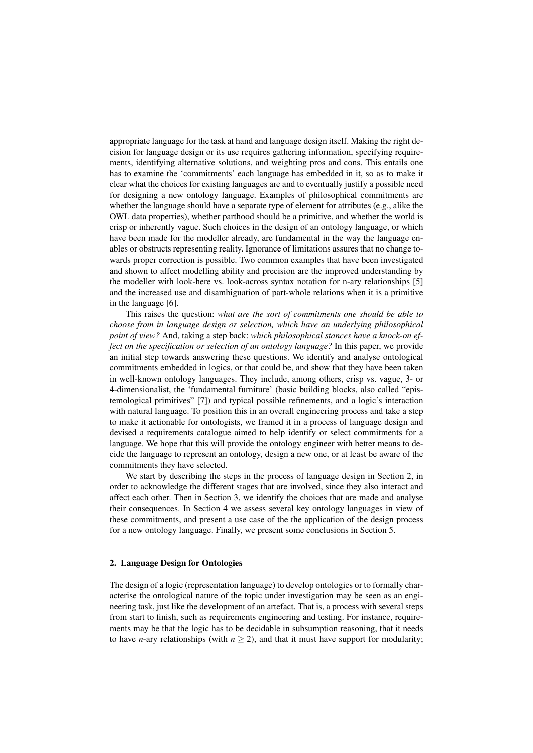appropriate language for the task at hand and language design itself. Making the right decision for language design or its use requires gathering information, specifying requirements, identifying alternative solutions, and weighting pros and cons. This entails one has to examine the 'commitments' each language has embedded in it, so as to make it clear what the choices for existing languages are and to eventually justify a possible need for designing a new ontology language. Examples of philosophical commitments are whether the language should have a separate type of element for attributes (e.g., alike the OWL data properties), whether parthood should be a primitive, and whether the world is crisp or inherently vague. Such choices in the design of an ontology language, or which have been made for the modeller already, are fundamental in the way the language enables or obstructs representing reality. Ignorance of limitations assures that no change towards proper correction is possible. Two common examples that have been investigated and shown to affect modelling ability and precision are the improved understanding by the modeller with look-here vs. look-across syntax notation for n-ary relationships [5] and the increased use and disambiguation of part-whole relations when it is a primitive in the language [6].

This raises the question: *what are the sort of commitments one should be able to choose from in language design or selection, which have an underlying philosophical point of view?* And, taking a step back: *which philosophical stances have a knock-on effect on the specification or selection of an ontology language?* In this paper, we provide an initial step towards answering these questions. We identify and analyse ontological commitments embedded in logics, or that could be, and show that they have been taken in well-known ontology languages. They include, among others, crisp vs. vague, 3- or 4-dimensionalist, the 'fundamental furniture' (basic building blocks, also called "epistemological primitives" [7]) and typical possible refinements, and a logic's interaction with natural language. To position this in an overall engineering process and take a step to make it actionable for ontologists, we framed it in a process of language design and devised a requirements catalogue aimed to help identify or select commitments for a language. We hope that this will provide the ontology engineer with better means to decide the language to represent an ontology, design a new one, or at least be aware of the commitments they have selected.

We start by describing the steps in the process of language design in Section 2, in order to acknowledge the different stages that are involved, since they also interact and affect each other. Then in Section 3, we identify the choices that are made and analyse their consequences. In Section 4 we assess several key ontology languages in view of these commitments, and present a use case of the the application of the design process for a new ontology language. Finally, we present some conclusions in Section 5.

# 2. Language Design for Ontologies

The design of a logic (representation language) to develop ontologies or to formally characterise the ontological nature of the topic under investigation may be seen as an engineering task, just like the development of an artefact. That is, a process with several steps from start to finish, such as requirements engineering and testing. For instance, requirements may be that the logic has to be decidable in subsumption reasoning, that it needs to have *n*-ary relationships (with  $n \geq 2$ ), and that it must have support for modularity;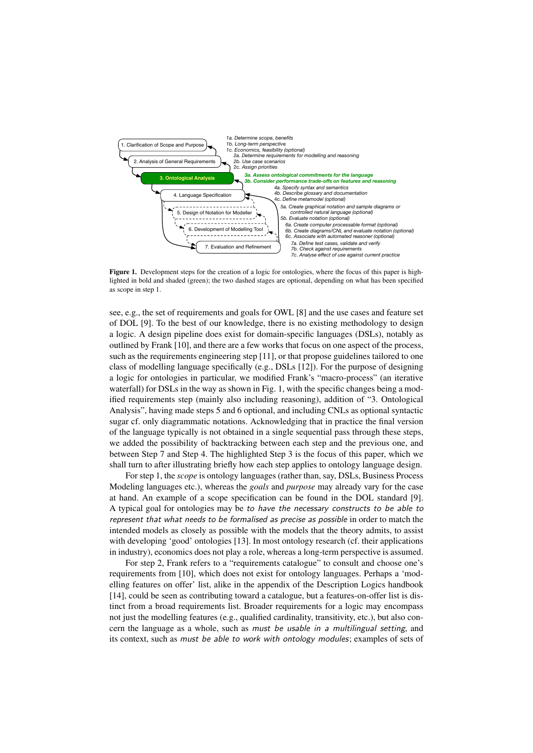

Figure 1. Development steps for the creation of a logic for ontologies, where the focus of this paper is highlighted in bold and shaded (green); the two dashed stages are optional, depending on what has been specified as scope in step 1.

see, e.g., the set of requirements and goals for OWL [8] and the use cases and feature set of DOL [9]. To the best of our knowledge, there is no existing methodology to design a logic. A design pipeline does exist for domain-specific languages (DSLs), notably as outlined by Frank [10], and there are a few works that focus on one aspect of the process, such as the requirements engineering step [11], or that propose guidelines tailored to one class of modelling language specifically (e.g., DSLs [12]). For the purpose of designing a logic for ontologies in particular, we modified Frank's "macro-process" (an iterative waterfall) for DSLs in the way as shown in Fig. 1, with the specific changes being a modified requirements step (mainly also including reasoning), addition of "3. Ontological Analysis", having made steps 5 and 6 optional, and including CNLs as optional syntactic sugar cf. only diagrammatic notations. Acknowledging that in practice the final version of the language typically is not obtained in a single sequential pass through these steps, we added the possibility of backtracking between each step and the previous one, and between Step 7 and Step 4. The highlighted Step 3 is the focus of this paper, which we shall turn to after illustrating briefly how each step applies to ontology language design.

For step 1, the *scope* is ontology languages (rather than, say, DSLs, Business Process Modeling languages etc.), whereas the *goals* and *purpose* may already vary for the case at hand. An example of a scope specification can be found in the DOL standard [9]. A typical goal for ontologies may be to have the necessary constructs to be able to represent that what needs to be formalised as precise as possible in order to match the intended models as closely as possible with the models that the theory admits, to assist with developing 'good' ontologies [13]. In most ontology research (cf. their applications in industry), economics does not play a role, whereas a long-term perspective is assumed.

For step 2, Frank refers to a "requirements catalogue" to consult and choose one's requirements from [10], which does not exist for ontology languages. Perhaps a 'modelling features on offer' list, alike in the appendix of the Description Logics handbook [14], could be seen as contributing toward a catalogue, but a features-on-offer list is distinct from a broad requirements list. Broader requirements for a logic may encompass not just the modelling features (e.g., qualified cardinality, transitivity, etc.), but also concern the language as a whole, such as must be usable in a multilingual setting, and its context, such as must be able to work with ontology modules; examples of sets of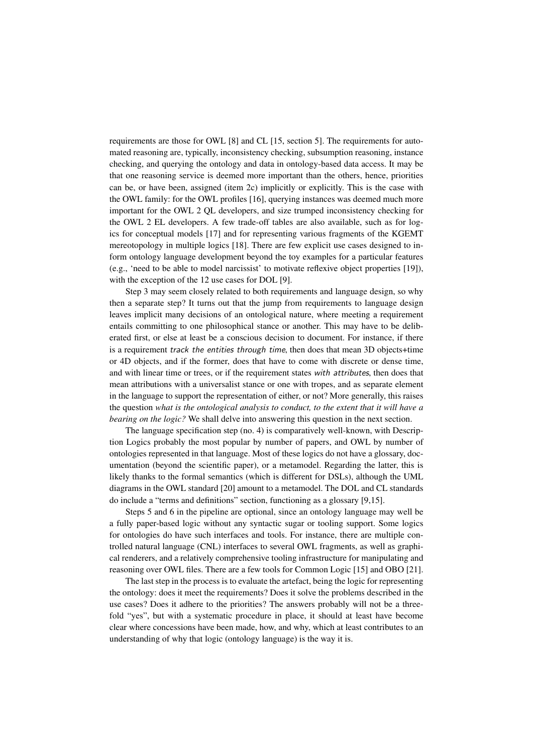requirements are those for OWL [8] and CL [15, section 5]. The requirements for automated reasoning are, typically, inconsistency checking, subsumption reasoning, instance checking, and querying the ontology and data in ontology-based data access. It may be that one reasoning service is deemed more important than the others, hence, priorities can be, or have been, assigned (item 2c) implicitly or explicitly. This is the case with the OWL family: for the OWL profiles [16], querying instances was deemed much more important for the OWL 2 QL developers, and size trumped inconsistency checking for the OWL 2 EL developers. A few trade-off tables are also available, such as for logics for conceptual models [17] and for representing various fragments of the KGEMT mereotopology in multiple logics [18]. There are few explicit use cases designed to inform ontology language development beyond the toy examples for a particular features (e.g., 'need to be able to model narcissist' to motivate reflexive object properties [19]), with the exception of the 12 use cases for DOL [9].

Step 3 may seem closely related to both requirements and language design, so why then a separate step? It turns out that the jump from requirements to language design leaves implicit many decisions of an ontological nature, where meeting a requirement entails committing to one philosophical stance or another. This may have to be deliberated first, or else at least be a conscious decision to document. For instance, if there is a requirement track the entities through time, then does that mean 3D objects+time or 4D objects, and if the former, does that have to come with discrete or dense time, and with linear time or trees, or if the requirement states with attributes, then does that mean attributions with a universalist stance or one with tropes, and as separate element in the language to support the representation of either, or not? More generally, this raises the question *what is the ontological analysis to conduct, to the extent that it will have a bearing on the logic?* We shall delve into answering this question in the next section.

The language specification step (no. 4) is comparatively well-known, with Description Logics probably the most popular by number of papers, and OWL by number of ontologies represented in that language. Most of these logics do not have a glossary, documentation (beyond the scientific paper), or a metamodel. Regarding the latter, this is likely thanks to the formal semantics (which is different for DSLs), although the UML diagrams in the OWL standard [20] amount to a metamodel. The DOL and CL standards do include a "terms and definitions" section, functioning as a glossary [9,15].

Steps 5 and 6 in the pipeline are optional, since an ontology language may well be a fully paper-based logic without any syntactic sugar or tooling support. Some logics for ontologies do have such interfaces and tools. For instance, there are multiple controlled natural language (CNL) interfaces to several OWL fragments, as well as graphical renderers, and a relatively comprehensive tooling infrastructure for manipulating and reasoning over OWL files. There are a few tools for Common Logic [15] and OBO [21].

The last step in the process is to evaluate the artefact, being the logic for representing the ontology: does it meet the requirements? Does it solve the problems described in the use cases? Does it adhere to the priorities? The answers probably will not be a threefold "yes", but with a systematic procedure in place, it should at least have become clear where concessions have been made, how, and why, which at least contributes to an understanding of why that logic (ontology language) is the way it is.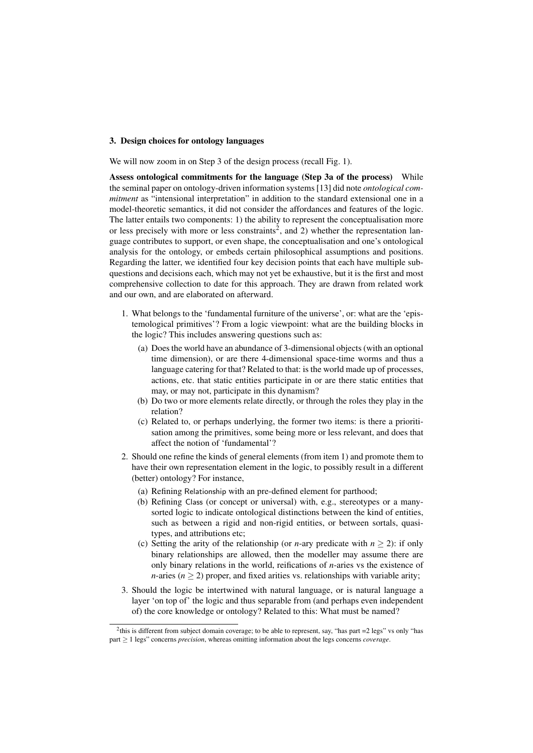## 3. Design choices for ontology languages

We will now zoom in on Step 3 of the design process (recall Fig. 1).

Assess ontological commitments for the language (Step 3a of the process) While the seminal paper on ontology-driven information systems [13] did note *ontological commitment* as "intensional interpretation" in addition to the standard extensional one in a model-theoretic semantics, it did not consider the affordances and features of the logic. The latter entails two components: 1) the ability to represent the conceptualisation more or less precisely with more or less constraints<sup>2</sup>, and 2) whether the representation language contributes to support, or even shape, the conceptualisation and one's ontological analysis for the ontology, or embeds certain philosophical assumptions and positions. Regarding the latter, we identified four key decision points that each have multiple subquestions and decisions each, which may not yet be exhaustive, but it is the first and most comprehensive collection to date for this approach. They are drawn from related work and our own, and are elaborated on afterward.

- 1. What belongs to the 'fundamental furniture of the universe', or: what are the 'epistemological primitives'? From a logic viewpoint: what are the building blocks in the logic? This includes answering questions such as:
	- (a) Does the world have an abundance of 3-dimensional objects (with an optional time dimension), or are there 4-dimensional space-time worms and thus a language catering for that? Related to that: is the world made up of processes, actions, etc. that static entities participate in or are there static entities that may, or may not, participate in this dynamism?
	- (b) Do two or more elements relate directly, or through the roles they play in the relation?
	- (c) Related to, or perhaps underlying, the former two items: is there a prioritisation among the primitives, some being more or less relevant, and does that affect the notion of 'fundamental'?
- 2. Should one refine the kinds of general elements (from item 1) and promote them to have their own representation element in the logic, to possibly result in a different (better) ontology? For instance,
	- (a) Refining Relationship with an pre-defined element for parthood;
	- (b) Refining Class (or concept or universal) with, e.g., stereotypes or a manysorted logic to indicate ontological distinctions between the kind of entities, such as between a rigid and non-rigid entities, or between sortals, quasitypes, and attributions etc;
	- (c) Setting the arity of the relationship (or *n*-ary predicate with  $n \ge 2$ ): if only binary relationships are allowed, then the modeller may assume there are only binary relations in the world, reifications of *n*-aries vs the existence of *n*-aries ( $n \geq 2$ ) proper, and fixed arities vs. relationships with variable arity;
- 3. Should the logic be intertwined with natural language, or is natural language a layer 'on top of' the logic and thus separable from (and perhaps even independent of) the core knowledge or ontology? Related to this: What must be named?

<sup>&</sup>lt;sup>2</sup>this is different from subject domain coverage; to be able to represent, say, "has part =2 legs" vs only "has part ≥ 1 legs" concerns *precision*, whereas omitting information about the legs concerns *coverage*.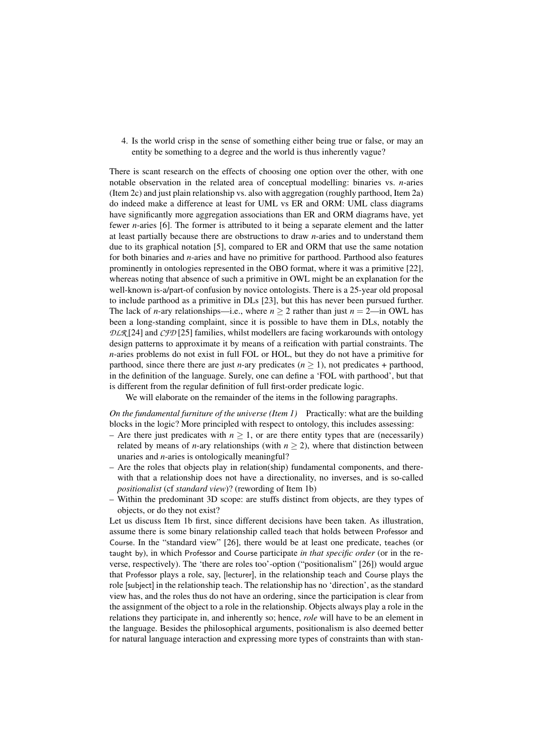4. Is the world crisp in the sense of something either being true or false, or may an entity be something to a degree and the world is thus inherently vague?

There is scant research on the effects of choosing one option over the other, with one notable observation in the related area of conceptual modelling: binaries vs. *n*-aries (Item 2c) and just plain relationship vs. also with aggregation (roughly parthood, Item 2a) do indeed make a difference at least for UML vs ER and ORM: UML class diagrams have significantly more aggregation associations than ER and ORM diagrams have, yet fewer *n*-aries [6]. The former is attributed to it being a separate element and the latter at least partially because there are obstructions to draw *n*-aries and to understand them due to its graphical notation [5], compared to ER and ORM that use the same notation for both binaries and *n*-aries and have no primitive for parthood. Parthood also features prominently in ontologies represented in the OBO format, where it was a primitive [22], whereas noting that absence of such a primitive in OWL might be an explanation for the well-known is-a/part-of confusion by novice ontologists. There is a 25-year old proposal to include parthood as a primitive in DLs [23], but this has never been pursued further. The lack of *n*-ary relationships—i.e., where  $n \ge 2$  rather than just  $n = 2$ —in OWL has been a long-standing complaint, since it is possible to have them in DLs, notably the *DLR* [24] and *CFD* [25] families, whilst modellers are facing workarounds with ontology design patterns to approximate it by means of a reification with partial constraints. The *n*-aries problems do not exist in full FOL or HOL, but they do not have a primitive for parthood, since there there are just *n*-ary predicates ( $n \ge 1$ ), not predicates + parthood, in the definition of the language. Surely, one can define a 'FOL with parthood', but that is different from the regular definition of full first-order predicate logic.

We will elaborate on the remainder of the items in the following paragraphs.

*On the fundamental furniture of the universe (Item 1)* Practically: what are the building blocks in the logic? More principled with respect to ontology, this includes assessing:

- Are there just predicates with  $n \geq 1$ , or are there entity types that are (necessarily) related by means of *n*-ary relationships (with  $n \ge 2$ ), where that distinction between unaries and *n*-aries is ontologically meaningful?
- Are the roles that objects play in relation(ship) fundamental components, and therewith that a relationship does not have a directionality, no inverses, and is so-called *positionalist* (cf *standard view*)? (rewording of Item 1b)
- Within the predominant 3D scope: are stuffs distinct from objects, are they types of objects, or do they not exist?

Let us discuss Item 1b first, since different decisions have been taken. As illustration, assume there is some binary relationship called teach that holds between Professor and Course. In the "standard view" [26], there would be at least one predicate, teaches (or taught by), in which Professor and Course participate *in that specific order* (or in the reverse, respectively). The 'there are roles too'-option ("positionalism" [26]) would argue that Professor plays a role, say, [lecturer], in the relationship teach and Course plays the role [subject] in the relationship teach. The relationship has no 'direction', as the standard view has, and the roles thus do not have an ordering, since the participation is clear from the assignment of the object to a role in the relationship. Objects always play a role in the relations they participate in, and inherently so; hence, *role* will have to be an element in the language. Besides the philosophical arguments, positionalism is also deemed better for natural language interaction and expressing more types of constraints than with stan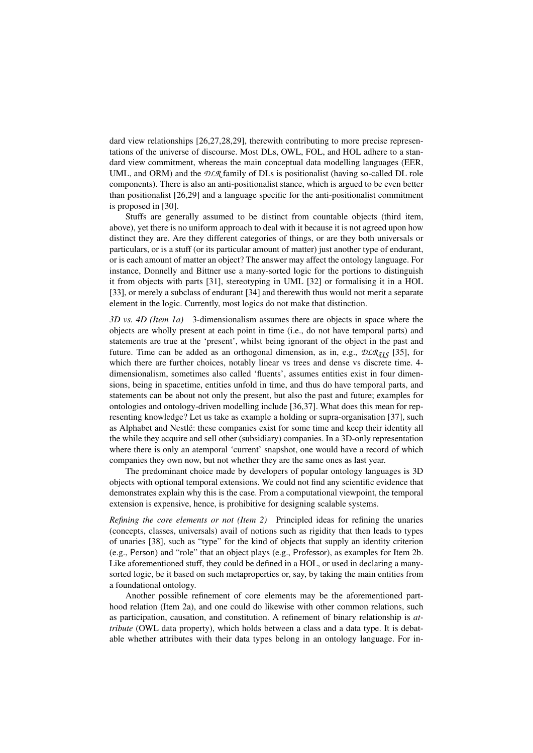dard view relationships [26,27,28,29], therewith contributing to more precise representations of the universe of discourse. Most DLs, OWL, FOL, and HOL adhere to a standard view commitment, whereas the main conceptual data modelling languages (EER, UML, and ORM) and the *DLR* family of DLs is positionalist (having so-called DL role components). There is also an anti-positionalist stance, which is argued to be even better than positionalist [26,29] and a language specific for the anti-positionalist commitment is proposed in [30].

Stuffs are generally assumed to be distinct from countable objects (third item, above), yet there is no uniform approach to deal with it because it is not agreed upon how distinct they are. Are they different categories of things, or are they both universals or particulars, or is a stuff (or its particular amount of matter) just another type of endurant, or is each amount of matter an object? The answer may affect the ontology language. For instance, Donnelly and Bittner use a many-sorted logic for the portions to distinguish it from objects with parts [31], stereotyping in UML [32] or formalising it in a HOL [33], or merely a subclass of endurant [34] and therewith thus would not merit a separate element in the logic. Currently, most logics do not make that distinction.

*3D vs. 4D (Item 1a)* 3-dimensionalism assumes there are objects in space where the objects are wholly present at each point in time (i.e., do not have temporal parts) and statements are true at the 'present', whilst being ignorant of the object in the past and future. Time can be added as an orthogonal dimension, as in, e.g.,  $DLR_{q15}$  [35], for which there are further choices, notably linear vs trees and dense vs discrete time. 4 dimensionalism, sometimes also called 'fluents', assumes entities exist in four dimensions, being in spacetime, entities unfold in time, and thus do have temporal parts, and statements can be about not only the present, but also the past and future; examples for ontologies and ontology-driven modelling include [36,37]. What does this mean for representing knowledge? Let us take as example a holding or supra-organisation [37], such as Alphabet and Nestlé: these companies exist for some time and keep their identity all the while they acquire and sell other (subsidiary) companies. In a 3D-only representation where there is only an atemporal 'current' snapshot, one would have a record of which companies they own now, but not whether they are the same ones as last year.

The predominant choice made by developers of popular ontology languages is 3D objects with optional temporal extensions. We could not find any scientific evidence that demonstrates explain why this is the case. From a computational viewpoint, the temporal extension is expensive, hence, is prohibitive for designing scalable systems.

*Refining the core elements or not (Item 2)* Principled ideas for refining the unaries (concepts, classes, universals) avail of notions such as rigidity that then leads to types of unaries [38], such as "type" for the kind of objects that supply an identity criterion (e.g., Person) and "role" that an object plays (e.g., Professor), as examples for Item 2b. Like aforementioned stuff, they could be defined in a HOL, or used in declaring a manysorted logic, be it based on such metaproperties or, say, by taking the main entities from a foundational ontology.

Another possible refinement of core elements may be the aforementioned parthood relation (Item 2a), and one could do likewise with other common relations, such as participation, causation, and constitution. A refinement of binary relationship is *attribute* (OWL data property), which holds between a class and a data type. It is debatable whether attributes with their data types belong in an ontology language. For in-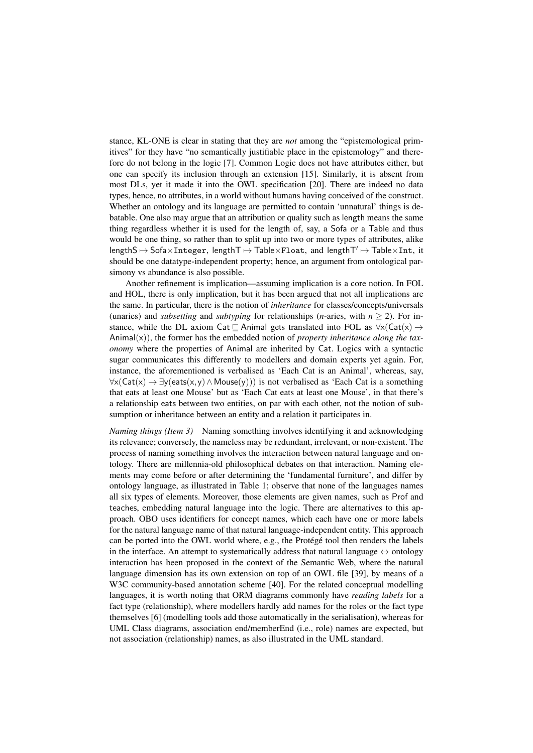stance, KL-ONE is clear in stating that they are *not* among the "epistemological primitives" for they have "no semantically justifiable place in the epistemology" and therefore do not belong in the logic [7]. Common Logic does not have attributes either, but one can specify its inclusion through an extension [15]. Similarly, it is absent from most DLs, yet it made it into the OWL specification [20]. There are indeed no data types, hence, no attributes, in a world without humans having conceived of the construct. Whether an ontology and its language are permitted to contain 'unnatural' things is debatable. One also may argue that an attribution or quality such as length means the same thing regardless whether it is used for the length of, say, a Sofa or a Table and thus would be one thing, so rather than to split up into two or more types of attributes, alike  $length S \mapsto SoftS$   $\forall$   $Integer$ ,  $length T \mapsto Table \times F$ loat, and  $length T' \mapsto Table \times Int$ , it should be one datatype-independent property; hence, an argument from ontological parsimony vs abundance is also possible.

Another refinement is implication—assuming implication is a core notion. In FOL and HOL, there is only implication, but it has been argued that not all implications are the same. In particular, there is the notion of *inheritance* for classes/concepts/universals (unaries) and *subsetting* and *subtyping* for relationships (*n*-aries, with  $n \ge 2$ ). For instance, while the DL axiom Cat  $\sqsubseteq$  Animal gets translated into FOL as  $\forall x$ (Cat(x)  $\rightarrow$ Animal(x)), the former has the embedded notion of *property inheritance along the taxonomy* where the properties of Animal are inherited by Cat. Logics with a syntactic sugar communicates this differently to modellers and domain experts yet again. For, instance, the aforementioned is verbalised as 'Each Cat is an Animal', whereas, say,  $\forall x (Cat(x) \rightarrow \exists y (eats(x, y) \land Mouse(y)))$  is not verbalised as 'Each Cat is a something that eats at least one Mouse' but as 'Each Cat eats at least one Mouse', in that there's a relationship eats between two entities, on par with each other, not the notion of subsumption or inheritance between an entity and a relation it participates in.

*Naming things (Item 3)* Naming something involves identifying it and acknowledging its relevance; conversely, the nameless may be redundant, irrelevant, or non-existent. The process of naming something involves the interaction between natural language and ontology. There are millennia-old philosophical debates on that interaction. Naming elements may come before or after determining the 'fundamental furniture', and differ by ontology language, as illustrated in Table 1; observe that none of the languages names all six types of elements. Moreover, those elements are given names, such as Prof and teaches, embedding natural language into the logic. There are alternatives to this approach. OBO uses identifiers for concept names, which each have one or more labels for the natural language name of that natural language-independent entity. This approach can be ported into the OWL world where, e.g., the Protégé tool then renders the labels in the interface. An attempt to systematically address that natural language  $\leftrightarrow$  ontology interaction has been proposed in the context of the Semantic Web, where the natural language dimension has its own extension on top of an OWL file [39], by means of a W<sub>3</sub>C community-based annotation scheme [40]. For the related conceptual modelling languages, it is worth noting that ORM diagrams commonly have *reading labels* for a fact type (relationship), where modellers hardly add names for the roles or the fact type themselves [6] (modelling tools add those automatically in the serialisation), whereas for UML Class diagrams, association end/memberEnd (i.e., role) names are expected, but not association (relationship) names, as also illustrated in the UML standard.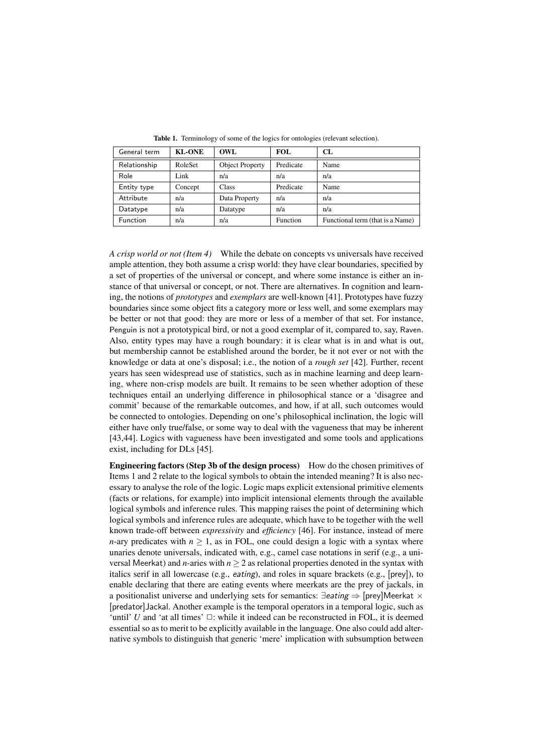| General term | <b>KL-ONE</b> | OWL.                   | FOL.      | CL.                              |
|--------------|---------------|------------------------|-----------|----------------------------------|
| Relationship | RoleSet       | <b>Object Property</b> | Predicate | Name                             |
| Role         | Link          | n/a                    | n/a       | n/a                              |
| Entity type  | Concept       | Class                  | Predicate | Name                             |
| Attribute    | n/a           | Data Property          | n/a       | n/a                              |
| Datatype     | n/a           | Datatype               | n/a       | n/a                              |
| Function     | n/a           | n/a                    | Function  | Functional term (that is a Name) |

Table 1. Terminology of some of the logics for ontologies (relevant selection).

*A crisp world or not (Item 4)* While the debate on concepts vs universals have received ample attention, they both assume a crisp world: they have clear boundaries, specified by a set of properties of the universal or concept, and where some instance is either an instance of that universal or concept, or not. There are alternatives. In cognition and learning, the notions of *prototypes* and *exemplars* are well-known [41]. Prototypes have fuzzy boundaries since some object fits a category more or less well, and some exemplars may be better or not that good: they are more or less of a member of that set. For instance, Penguin is not a prototypical bird, or not a good exemplar of it, compared to, say, Raven. Also, entity types may have a rough boundary: it is clear what is in and what is out, but membership cannot be established around the border, be it not ever or not with the knowledge or data at one's disposal; i.e., the notion of a *rough set* [42]. Further, recent years has seen widespread use of statistics, such as in machine learning and deep learning, where non-crisp models are built. It remains to be seen whether adoption of these techniques entail an underlying difference in philosophical stance or a 'disagree and commit' because of the remarkable outcomes, and how, if at all, such outcomes would be connected to ontologies. Depending on one's philosophical inclination, the logic will either have only true/false, or some way to deal with the vagueness that may be inherent [43,44]. Logics with vagueness have been investigated and some tools and applications exist, including for DLs [45].

Engineering factors (Step 3b of the design process) How do the chosen primitives of Items 1 and 2 relate to the logical symbols to obtain the intended meaning? It is also necessary to analyse the role of the logic. Logic maps explicit extensional primitive elements (facts or relations, for example) into implicit intensional elements through the available logical symbols and inference rules. This mapping raises the point of determining which logical symbols and inference rules are adequate, which have to be together with the well known trade-off between *expressivity* and *efficiency* [46]. For instance, instead of mere *n*-ary predicates with  $n \ge 1$ , as in FOL, one could design a logic with a syntax where unaries denote universals, indicated with, e.g., camel case notations in serif (e.g., a universal Meerkat) and *n*-aries with  $n \geq 2$  as relational properties denoted in the syntax with italics serif in all lowercase (e.g., *eating*), and roles in square brackets (e.g., [prey]), to enable declaring that there are eating events where meerkats are the prey of jackals, in a positionalist universe and underlying sets for semantics: ∃eating ⇒ [prey]Meerkat × [predator]Jackal. Another example is the temporal operators in a temporal logic, such as 'until'  $U$  and 'at all times'  $\Box$ : while it indeed can be reconstructed in FOL, it is deemed essential so as to merit to be explicitly available in the language. One also could add alternative symbols to distinguish that generic 'mere' implication with subsumption between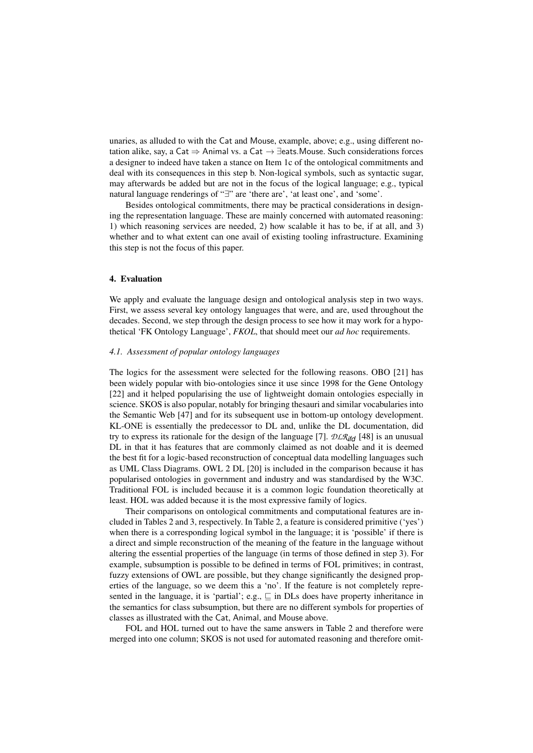unaries, as alluded to with the Cat and Mouse, example, above; e.g., using different notation alike, say, a Cat  $\Rightarrow$  Animal vs. a Cat  $\rightarrow \exists$ eats. Mouse. Such considerations forces a designer to indeed have taken a stance on Item 1c of the ontological commitments and deal with its consequences in this step b. Non-logical symbols, such as syntactic sugar, may afterwards be added but are not in the focus of the logical language; e.g., typical natural language renderings of "∃" are 'there are', 'at least one', and 'some'.

Besides ontological commitments, there may be practical considerations in designing the representation language. These are mainly concerned with automated reasoning: 1) which reasoning services are needed, 2) how scalable it has to be, if at all, and 3) whether and to what extent can one avail of existing tooling infrastructure. Examining this step is not the focus of this paper.

#### 4. Evaluation

We apply and evaluate the language design and ontological analysis step in two ways. First, we assess several key ontology languages that were, and are, used throughout the decades. Second, we step through the design process to see how it may work for a hypothetical 'FK Ontology Language', *FKOL*, that should meet our *ad hoc* requirements.

#### *4.1. Assessment of popular ontology languages*

The logics for the assessment were selected for the following reasons. OBO [21] has been widely popular with bio-ontologies since it use since 1998 for the Gene Ontology [22] and it helped popularising the use of lightweight domain ontologies especially in science. SKOS is also popular, notably for bringing thesauri and similar vocabularies into the Semantic Web [47] and for its subsequent use in bottom-up ontology development. KL-ONE is essentially the predecessor to DL and, unlike the DL documentation, did try to express its rationale for the design of the language [7]. *DLRifd* [48] is an unusual DL in that it has features that are commonly claimed as not doable and it is deemed the best fit for a logic-based reconstruction of conceptual data modelling languages such as UML Class Diagrams. OWL 2 DL [20] is included in the comparison because it has popularised ontologies in government and industry and was standardised by the W3C. Traditional FOL is included because it is a common logic foundation theoretically at least. HOL was added because it is the most expressive family of logics.

Their comparisons on ontological commitments and computational features are included in Tables 2 and 3, respectively. In Table 2, a feature is considered primitive ('yes') when there is a corresponding logical symbol in the language; it is 'possible' if there is a direct and simple reconstruction of the meaning of the feature in the language without altering the essential properties of the language (in terms of those defined in step 3). For example, subsumption is possible to be defined in terms of FOL primitives; in contrast, fuzzy extensions of OWL are possible, but they change significantly the designed properties of the language, so we deem this a 'no'. If the feature is not completely represented in the language, it is 'partial'; e.g.,  $\sqsubseteq$  in DLs does have property inheritance in the semantics for class subsumption, but there are no different symbols for properties of classes as illustrated with the Cat, Animal, and Mouse above.

FOL and HOL turned out to have the same answers in Table 2 and therefore were merged into one column; SKOS is not used for automated reasoning and therefore omit-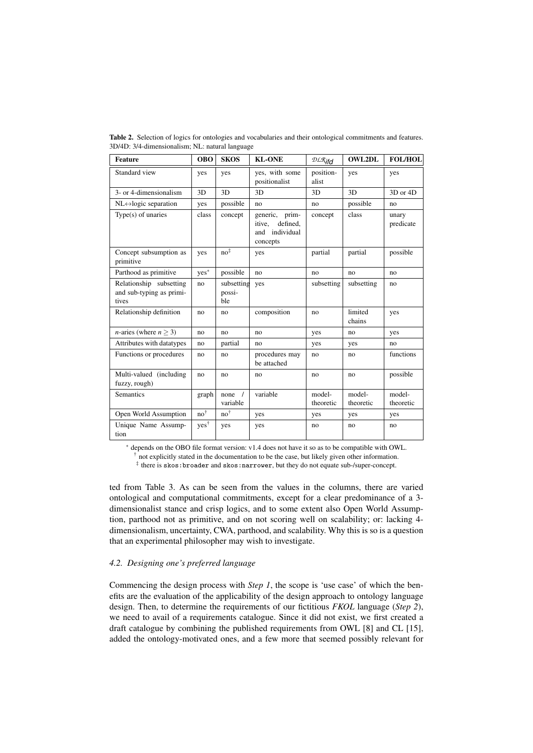| <b>Feature</b>                                               | <b>OBO</b>       | <b>SKOS</b>                 | <b>KL-ONE</b>                                                         | $\mathcal{DLR}$ ifd | <b>OWL2DL</b>       | <b>FOL/HOL</b>      |
|--------------------------------------------------------------|------------------|-----------------------------|-----------------------------------------------------------------------|---------------------|---------------------|---------------------|
| Standard view                                                | yes              | yes                         | yes, with some<br>positionalist                                       | position-<br>alist  | yes                 | yes                 |
| 3- or 4-dimensionalism                                       | 3D               | 3D                          | 3D                                                                    | 3D                  | 3D                  | 3D or 4D            |
| $NL \leftrightarrow$ logic separation                        | yes              | possible                    | no                                                                    | no                  | possible            | no                  |
| Type(s) of unaries                                           | class            | concept                     | generic, prim-<br>defined.<br>itive.<br>individual<br>and<br>concepts | concept             | class               | unary<br>predicate  |
| Concept subsumption as<br>primitive                          | yes              | $no^{\ddagger}$             | yes                                                                   | partial             | partial             | possible            |
| Parthood as primitive                                        | ${\rm yes}^*$    | possible                    | no                                                                    | no                  | no                  | no                  |
| Relationship subsetting<br>and sub-typing as primi-<br>tives | no               | subsetting<br>possi-<br>ble | yes                                                                   | subsetting          | subsetting          | no                  |
| Relationship definition                                      | no               | no                          | composition                                                           | no                  | limited<br>chains   | yes                 |
| <i>n</i> -aries (where $n > 3$ )                             | no.              | no                          | no                                                                    | yes                 | no                  | yes                 |
| Attributes with datatypes                                    | no               | partial                     | no                                                                    | yes                 | yes                 | no                  |
| Functions or procedures                                      | no               | no                          | procedures may<br>be attached                                         | no                  | no                  | functions           |
| Multi-valued (including<br>fuzzy, rough)                     | no.              | no.                         | no                                                                    | no                  | no                  | possible            |
| Semantics                                                    | graph            | none $/$<br>variable        | variable                                                              | model-<br>theoretic | model-<br>theoretic | model-<br>theoretic |
| Open World Assumption                                        | $no^{\dagger}$   | $no^{\dagger}$              | yes                                                                   | yes                 | yes                 | yes                 |
| Unique Name Assump-<br>tion                                  | yes <sup>†</sup> | yes                         | yes                                                                   | no                  | no                  | no                  |

Table 2. Selection of logics for ontologies and vocabularies and their ontological commitments and features. 3D/4D: 3/4-dimensionalism; NL: natural language

<sup>∗</sup> depends on the OBO file format version: v1.4 does not have it so as to be compatible with OWL.

 $\dagger$  not explicitly stated in the documentation to be the case, but likely given other information.

‡ there is skos:broader and skos:narrower, but they do not equate sub-/super-concept.

ted from Table 3. As can be seen from the values in the columns, there are varied ontological and computational commitments, except for a clear predominance of a 3 dimensionalist stance and crisp logics, and to some extent also Open World Assumption, parthood not as primitive, and on not scoring well on scalability; or: lacking 4 dimensionalism, uncertainty, CWA, parthood, and scalability. Why this is so is a question that an experimental philosopher may wish to investigate.

# *4.2. Designing one's preferred language*

Commencing the design process with *Step 1*, the scope is 'use case' of which the benefits are the evaluation of the applicability of the design approach to ontology language design. Then, to determine the requirements of our fictitious *FKOL* language (*Step 2*), we need to avail of a requirements catalogue. Since it did not exist, we first created a draft catalogue by combining the published requirements from OWL [8] and CL [15], added the ontology-motivated ones, and a few more that seemed possibly relevant for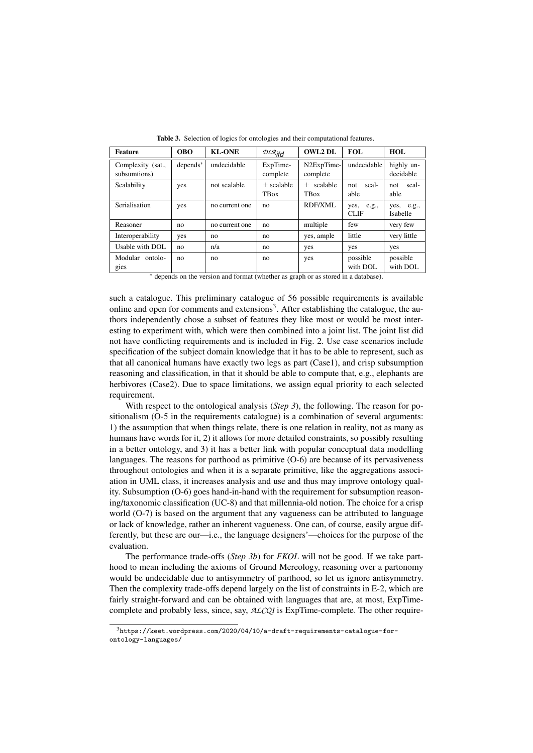| <b>Feature</b>                    | <b>OBO</b>  | <b>KL-ONE</b>  | $\mathcal{DLR}_{ifd}$       | <b>OWL2 DL</b>              | FOL.                         | HOL                           |
|-----------------------------------|-------------|----------------|-----------------------------|-----------------------------|------------------------------|-------------------------------|
| Complexity (sat.,<br>subsumtions) | $depends^*$ | undecidable    | ExpTime-<br>complete        | N2ExpTime-<br>complete      | undecidable                  | highly un-<br>decidable       |
| Scalability                       | yes         | not scalable   | $+$ scalable<br><b>TBox</b> | $+$ scalable<br><b>TBox</b> | scal-<br>not.<br>able        | scal-<br>not<br>able          |
| Serialisation                     | yes         | no current one | no                          | RDF/XML                     | yes,<br>e.g.,<br><b>CLIF</b> | yes, e.g.,<br><b>Isabelle</b> |
| Reasoner                          | no          | no current one | no                          | multiple                    | few                          | very few                      |
| Interoperability                  | yes         | no             | no                          | yes, ample                  | little                       | very little                   |
| Usable with DOL                   | no          | n/a            | no                          | yes                         | yes                          | yes                           |
| Modular ontolo-<br>gies           | no          | no             | no                          | yes                         | possible<br>with DOL         | possible<br>with DOL          |

Table 3. Selection of logics for ontologies and their computational features.

<sup>∗</sup> depends on the version and format (whether as graph or as stored in a database).

such a catalogue. This preliminary catalogue of 56 possible requirements is available online and open for comments and extensions<sup>3</sup>. After establishing the catalogue, the authors independently chose a subset of features they like most or would be most interesting to experiment with, which were then combined into a joint list. The joint list did not have conflicting requirements and is included in Fig. 2. Use case scenarios include specification of the subject domain knowledge that it has to be able to represent, such as that all canonical humans have exactly two legs as part (Case1), and crisp subsumption reasoning and classification, in that it should be able to compute that, e.g., elephants are herbivores (Case2). Due to space limitations, we assign equal priority to each selected requirement.

With respect to the ontological analysis (*Step 3*), the following. The reason for positionalism (O-5 in the requirements catalogue) is a combination of several arguments: 1) the assumption that when things relate, there is one relation in reality, not as many as humans have words for it, 2) it allows for more detailed constraints, so possibly resulting in a better ontology, and 3) it has a better link with popular conceptual data modelling languages. The reasons for parthood as primitive (O-6) are because of its pervasiveness throughout ontologies and when it is a separate primitive, like the aggregations association in UML class, it increases analysis and use and thus may improve ontology quality. Subsumption (O-6) goes hand-in-hand with the requirement for subsumption reasoning/taxonomic classification (UC-8) and that millennia-old notion. The choice for a crisp world (O-7) is based on the argument that any vagueness can be attributed to language or lack of knowledge, rather an inherent vagueness. One can, of course, easily argue differently, but these are our—i.e., the language designers'—choices for the purpose of the evaluation.

The performance trade-offs (*Step 3b*) for *FKOL* will not be good. If we take parthood to mean including the axioms of Ground Mereology, reasoning over a partonomy would be undecidable due to antisymmetry of parthood, so let us ignore antisymmetry. Then the complexity trade-offs depend largely on the list of constraints in E-2, which are fairly straight-forward and can be obtained with languages that are, at most, ExpTimecomplete and probably less, since, say, *ALCQI* is ExpTime-complete. The other require-

<sup>3</sup>https://keet.wordpress.com/2020/04/10/a-draft-requirements-catalogue-forontology-languages/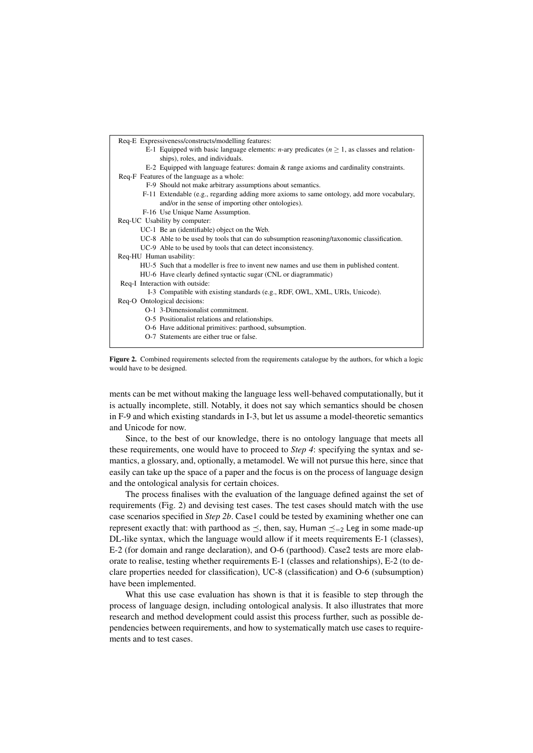



ments can be met without making the language less well-behaved computationally, but it is actually incomplete, still. Notably, it does not say which semantics should be chosen in F-9 and which existing standards in I-3, but let us assume a model-theoretic semantics and Unicode for now.

Since, to the best of our knowledge, there is no ontology language that meets all these requirements, one would have to proceed to *Step 4*: specifying the syntax and semantics, a glossary, and, optionally, a metamodel. We will not pursue this here, since that easily can take up the space of a paper and the focus is on the process of language design and the ontological analysis for certain choices.

The process finalises with the evaluation of the language defined against the set of requirements (Fig. 2) and devising test cases. The test cases should match with the use case scenarios specified in *Step 2b*. Case1 could be tested by examining whether one can represent exactly that: with parthood as  $\preceq$ , then, say, Human  $\preceq_{=2}$  Leg in some made-up DL-like syntax, which the language would allow if it meets requirements E-1 (classes), E-2 (for domain and range declaration), and O-6 (parthood). Case2 tests are more elaborate to realise, testing whether requirements E-1 (classes and relationships), E-2 (to declare properties needed for classification), UC-8 (classification) and O-6 (subsumption) have been implemented.

What this use case evaluation has shown is that it is feasible to step through the process of language design, including ontological analysis. It also illustrates that more research and method development could assist this process further, such as possible dependencies between requirements, and how to systematically match use cases to requirements and to test cases.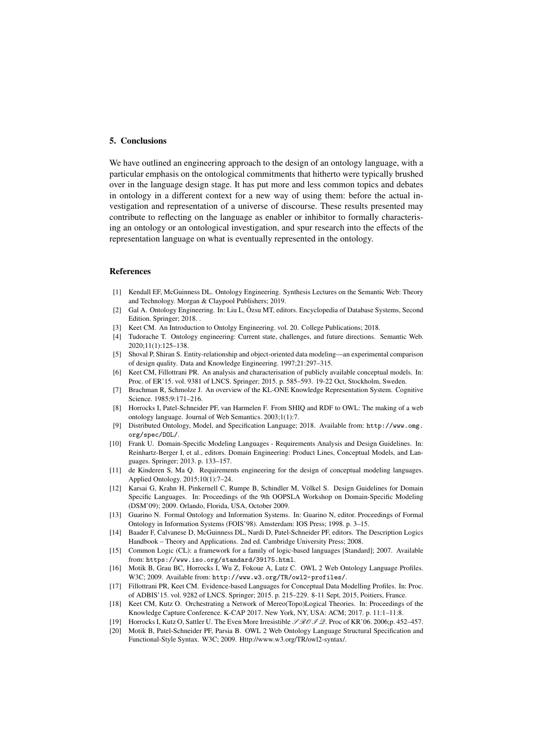## 5. Conclusions

We have outlined an engineering approach to the design of an ontology language, with a particular emphasis on the ontological commitments that hitherto were typically brushed over in the language design stage. It has put more and less common topics and debates in ontology in a different context for a new way of using them: before the actual investigation and representation of a universe of discourse. These results presented may contribute to reflecting on the language as enabler or inhibitor to formally characterising an ontology or an ontological investigation, and spur research into the effects of the representation language on what is eventually represented in the ontology.

#### References

- [1] Kendall EF, McGuinness DL. Ontology Engineering. Synthesis Lectures on the Semantic Web: Theory and Technology. Morgan & Claypool Publishers; 2019.
- [2] Gal A. Ontology Engineering. In: Liu L, Özsu MT, editors. Encyclopedia of Database Systems, Second Edition. Springer; 2018. .
- [3] Keet CM. An Introduction to Ontolgy Engineering. vol. 20. College Publications; 2018.
- [4] Tudorache T. Ontology engineering: Current state, challenges, and future directions. Semantic Web. 2020;11(1):125–138.
- [5] Shoval P, Shiran S. Entity-relationship and object-oriented data modeling—an experimental comparison of design quality. Data and Knowledge Engineering. 1997;21:297–315.
- [6] Keet CM, Fillottrani PR. An analysis and characterisation of publicly available conceptual models. In: Proc. of ER'15. vol. 9381 of LNCS. Springer; 2015. p. 585–593. 19-22 Oct, Stockholm, Sweden.
- [7] Brachman R, Schmolze J. An overview of the KL-ONE Knowledge Representation System. Cognitive Science. 1985;9:171–216.
- [8] Horrocks I, Patel-Schneider PF, van Harmelen F. From SHIQ and RDF to OWL: The making of a web ontology language. Journal of Web Semantics. 2003;1(1):7.
- [9] Distributed Ontology, Model, and Specification Language; 2018. Available from: http://www.omg. org/spec/DOL/.
- [10] Frank U. Domain-Specific Modeling Languages Requirements Analysis and Design Guidelines. In: Reinhartz-Berger I, et al., editors. Domain Engineering: Product Lines, Conceptual Models, and Languages. Springer; 2013. p. 133–157.
- [11] de Kinderen S, Ma Q. Requirements engineering for the design of conceptual modeling languages. Applied Ontology. 2015;10(1):7–24.
- [12] Karsai G, Krahn H, Pinkernell C, Rumpe B, Schindler M, Volkel S. Design Guidelines for Domain ¨ Specific Languages. In: Proceedings of the 9th OOPSLA Workshop on Domain-Specific Modeling (DSM'09); 2009. Orlando, Florida, USA, October 2009.
- [13] Guarino N. Formal Ontology and Information Systems. In: Guarino N, editor. Proceedings of Formal Ontology in Information Systems (FOIS'98). Amsterdam: IOS Press; 1998. p. 3–15.
- [14] Baader F, Calvanese D, McGuinness DL, Nardi D, Patel-Schneider PF, editors. The Description Logics Handbook – Theory and Applications. 2nd ed. Cambridge University Press; 2008.
- [15] Common Logic (CL): a framework for a family of logic-based languages [Standard]; 2007. Available from: https://www.iso.org/standard/39175.html.
- [16] Motik B, Grau BC, Horrocks I, Wu Z, Fokoue A, Lutz C. OWL 2 Web Ontology Language Profiles. W3C; 2009. Available from: http://www.w3.org/TR/owl2-profiles/.
- [17] Fillottrani PR, Keet CM. Evidence-based Languages for Conceptual Data Modelling Profiles. In: Proc. of ADBIS'15. vol. 9282 of LNCS. Springer; 2015. p. 215–229. 8-11 Sept, 2015, Poitiers, France.
- [18] Keet CM, Kutz O. Orchestrating a Network of Mereo(Topo)Logical Theories. In: Proceedings of the Knowledge Capture Conference. K-CAP 2017. New York, NY, USA: ACM; 2017. p. 11:1–11:8.
- [19] Horrocks I, Kutz O, Sattler U. The Even More Irresistible  $\mathcal{RBOIQ}$ . Proc of KR'06. 2006;p. 452–457. [20] Motik B, Patel-Schneider PF, Parsia B. OWL 2 Web Ontology Language Structural Specification and
- Functional-Style Syntax. W3C; 2009. Http://www.w3.org/TR/owl2-syntax/.